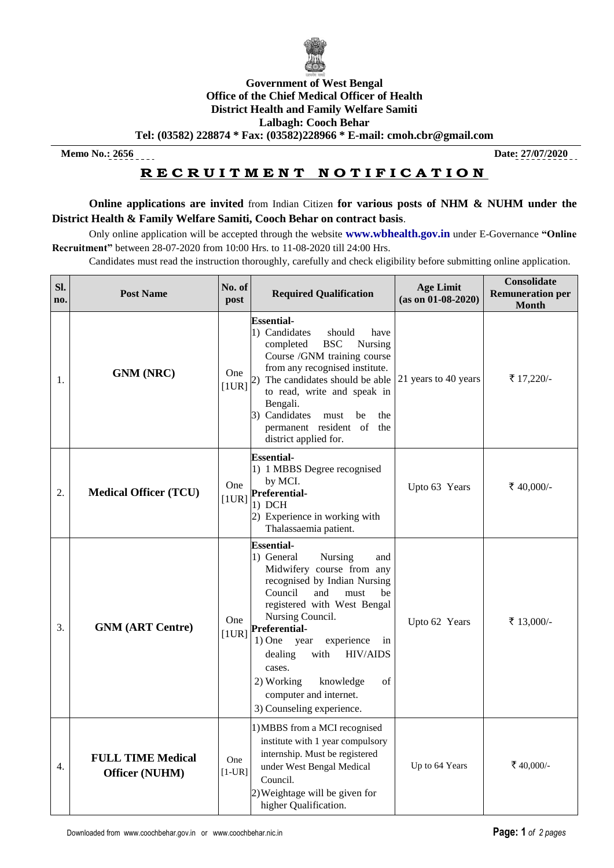

## **Government of West Bengal Office of the Chief Medical Officer of Health District Health and Family Welfare Samiti Lalbagh: Cooch Behar**

**Tel: (03582) 228874 \* Fax: (03582)228966 \* E-mail: [cmoh.cbr@gmail.com](mailto:cmoh.cbr@gmail.com)**

**Memo No.: 2656 Date: 27/07/2020**

## **R E C R U I T M E N T N O T I F I C A T I O N**

**Online applications are invited** from Indian Citizen **for various posts of NHM & NUHM under the District Health & Family Welfare Samiti, Cooch Behar on contract basis**.

Only online application will be accepted through the website **www.wbhealth.gov.in** under E-Governance **"Online Recruitment"** between 28-07-2020 from 10:00 Hrs. to 11-08-2020 till 24:00 Hrs.

Candidates must read the instruction thoroughly, carefully and check eligibility before submitting online application.

| Sl.<br>no. | <b>Post Name</b>                           | No. of<br>post      | <b>Required Qualification</b>                                                                                                                                                                                                                                                                                                                                                                             | <b>Age Limit</b><br>$(as on 01-08-2020)$ | <b>Consolidate</b><br><b>Remuneration per</b><br><b>Month</b> |
|------------|--------------------------------------------|---------------------|-----------------------------------------------------------------------------------------------------------------------------------------------------------------------------------------------------------------------------------------------------------------------------------------------------------------------------------------------------------------------------------------------------------|------------------------------------------|---------------------------------------------------------------|
| 1.         | <b>GNM</b> (NRC)                           | <b>One</b><br>[1UR] | <b>Essential-</b><br>1) Candidates<br>should<br>have<br><b>BSC</b><br>Nursing<br>completed<br>Course /GNM training course<br>from any recognised institute.<br>The candidates should be able $ 21$ years to 40 years<br>(2)<br>to read, write and speak in<br>Bengali.<br>3) Candidates<br>be<br>the<br>must<br>permanent resident of the<br>district applied for.                                        |                                          | ₹ 17,220/-                                                    |
| 2.         | <b>Medical Officer (TCU)</b>               | One<br>[1UR]        | <b>Essential-</b><br>1) 1 MBBS Degree recognised<br>by MCI.<br><b>Preferential-</b><br>$1)$ DCH<br>2) Experience in working with<br>Thalassaemia patient.                                                                                                                                                                                                                                                 | Upto 63 Years                            | ₹ 40,000/-                                                    |
| 3.         | <b>GNM (ART Centre)</b>                    | One<br>[1UR]        | <b>Essential-</b><br>1) General<br>Nursing<br>and<br>Midwifery course from any<br>recognised by Indian Nursing<br>Council<br>and<br>must<br>be<br>registered with West Bengal<br>Nursing Council.<br><b>Preferential-</b><br>$1)$ One<br>experience<br>year<br>in<br><b>HIV/AIDS</b><br>with<br>dealing<br>cases.<br>knowledge<br>of<br>2) Working<br>computer and internet.<br>3) Counseling experience. | Upto 62 Years                            | ₹ 13,000/-                                                    |
| 4.         | <b>FULL TIME Medical</b><br>Officer (NUHM) | One<br>$[1-UR]$     | 1) MBBS from a MCI recognised<br>institute with 1 year compulsory<br>internship. Must be registered<br>under West Bengal Medical<br>Council.<br>2) Weightage will be given for<br>higher Qualification.                                                                                                                                                                                                   | Up to 64 Years                           | ₹40,000/-                                                     |